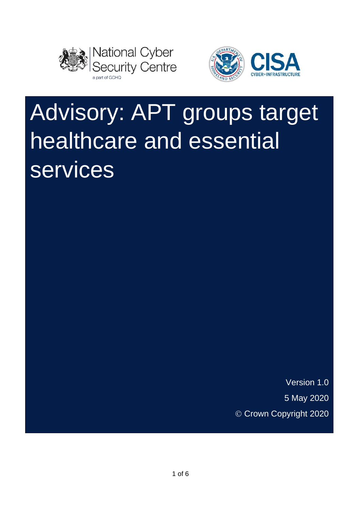



# Advisory: APT groups target healthcare and essential services

Version 1.0 5 May 2020 © Crown Copyright 2020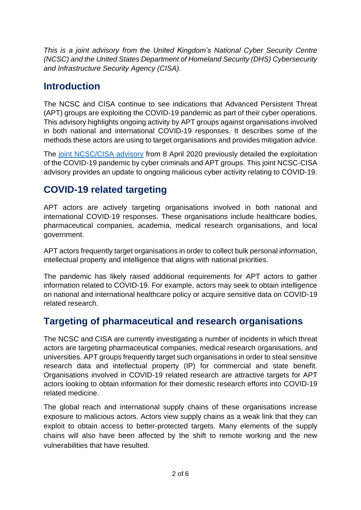*This is a joint advisory from the United Kingdom's National Cyber Security Centre (NCSC) and the United States Department of Homeland Security (DHS) Cybersecurity and Infrastructure Security Agency (CISA).*

## **Introduction**

The NCSC and CISA continue to see indications that Advanced Persistent Threat (APT) groups are exploiting the COVID-19 pandemic as part of their cyber operations. This advisory highlights ongoing activity by APT groups against organisations involved in both national and international COVID-19 responses. It describes some of the methods these actors are using to target organisations and provides mitigation advice.

The [joint NCSC/CISA advisory](https://www.ncsc.gov.uk/news/covid-19-exploited-by-cyber-actors-advisory) from 8 April 2020 previously detailed the exploitation of the COVID-19 pandemic by cyber criminals and APT groups. This joint NCSC-CISA advisory provides an update to ongoing malicious cyber activity relating to COVID-19.

# **COVID-19 related targeting**

APT actors are actively targeting organisations involved in both national and international COVID-19 responses. These organisations include healthcare bodies, pharmaceutical companies, academia, medical research organisations, and local government.

APT actors frequently target organisations in order to collect bulk personal information, intellectual property and intelligence that aligns with national priorities.

The pandemic has likely raised additional requirements for APT actors to gather information related to COVID-19. For example, actors may seek to obtain intelligence on national and international healthcare policy or acquire sensitive data on COVID-19 related research.

## **Targeting of pharmaceutical and research organisations**

The NCSC and CISA are currently investigating a number of incidents in which threat actors are targeting pharmaceutical companies, medical research organisations, and universities. APT groups frequently target such organisations in order to steal sensitive research data and intellectual property (IP) for commercial and state benefit. Organisations involved in COVID-19 related research are attractive targets for APT actors looking to obtain information for their domestic research efforts into COVID-19 related medicine.

The global reach and international supply chains of these organisations increase exposure to malicious actors. Actors view supply chains as a weak link that they can exploit to obtain access to better-protected targets. Many elements of the supply chains will also have been affected by the shift to remote working and the new vulnerabilities that have resulted.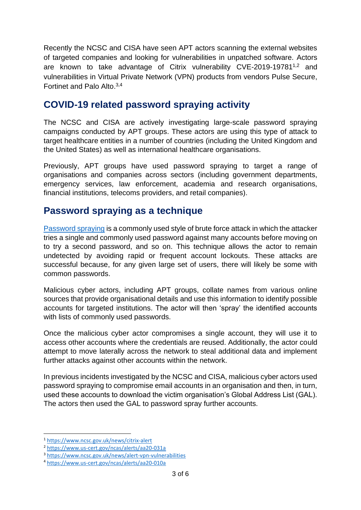Recently the NCSC and CISA have seen APT actors scanning the external websites of targeted companies and looking for vulnerabilities in unpatched software. Actors are known to take advantage of Citrix vulnerability CVE-2019-19781<sup>1,2</sup> and vulnerabilities in Virtual Private Network (VPN) products from vendors Pulse Secure, Fortinet and Palo Alto. 3,4

#### **COVID-19 related password spraying activity**

The NCSC and CISA are actively investigating large-scale password spraying campaigns conducted by APT groups. These actors are using this type of attack to target healthcare entities in a number of countries (including the United Kingdom and the United States) as well as international healthcare organisations.

Previously, APT groups have used password spraying to target a range of organisations and companies across sectors (including government departments, emergency services, law enforcement, academia and research organisations, financial institutions, telecoms providers, and retail companies).

#### **Password spraying as a technique**

[Password spraying](https://www.ncsc.gov.uk/blog-post/spray-you-spray-me-defending-against-password-spraying-attacks) is a commonly used style of brute force attack in which the attacker tries a single and commonly used password against many accounts before moving on to try a second password, and so on. This technique allows the actor to remain undetected by avoiding rapid or frequent account lockouts. These attacks are successful because, for any given large set of users, there will likely be some with common passwords.

Malicious cyber actors, including APT groups, collate names from various online sources that provide organisational details and use this information to identify possible accounts for targeted institutions. The actor will then 'spray' the identified accounts with lists of commonly used passwords.

Once the malicious cyber actor compromises a single account, they will use it to access other accounts where the credentials are reused. Additionally, the actor could attempt to move laterally across the network to steal additional data and implement further attacks against other accounts within the network.

In previous incidents investigated by the NCSC and CISA, malicious cyber actors used password spraying to compromise email accounts in an organisation and then, in turn, used these accounts to download the victim organisation's Global Address List (GAL). The actors then used the GAL to password spray further accounts.

<sup>1</sup> <https://www.ncsc.gov.uk/news/citrix-alert>

<sup>2</sup> <https://www.us-cert.gov/ncas/alerts/aa20-031a>

<sup>3</sup> <https://www.ncsc.gov.uk/news/alert-vpn-vulnerabilities>

<sup>4</sup> <https://www.us-cert.gov/ncas/alerts/aa20-010a>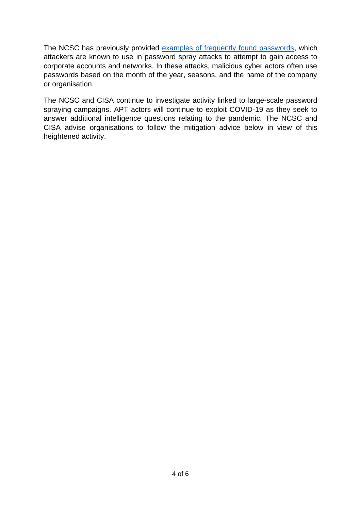The NCSC has previously provided [examples of frequently found passwords,](https://www.ncsc.gov.uk/blog-post/passwords-passwords-everywhere) which attackers are known to use in password spray attacks to attempt to gain access to corporate accounts and networks. In these attacks, malicious cyber actors often use passwords based on the month of the year, seasons, and the name of the company or organisation.

The NCSC and CISA continue to investigate activity linked to large-scale password spraying campaigns. APT actors will continue to exploit COVID-19 as they seek to answer additional intelligence questions relating to the pandemic. The NCSC and CISA advise organisations to follow the mitigation advice below in view of this heightened activity.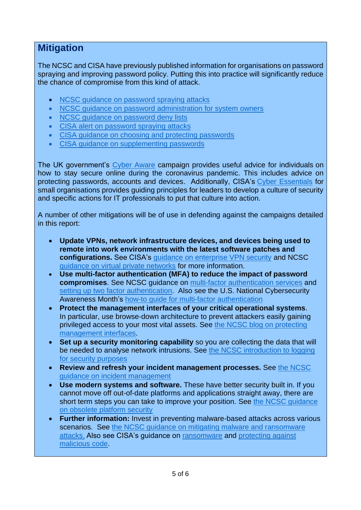## **Mitigation**

The NCSC and CISA have previously published information for organisations on password spraying and improving password policy. Putting this into practice will significantly reduce the chance of compromise from this kind of attack.

- NCSC quidance on password spraying attacks
- [NCSC guidance on password administration](https://www.ncsc.gov.uk/collection/passwords) for system owners
- NCSC quidance on password deny lists
- [CISA alert on password spraying attacks](https://www.us-cert.gov/ncas/alerts/TA18-086A)
- [CISA guidance on choosing and protecting passwords](https://www.us-cert.gov/ncas/tips/ST04-002)
- [CISA guidance on supplementing passwords](https://www.us-cert.gov/ncas/tips/ST05-012)

The UK government's [Cyber Aware](https://www.ncsc.gov.uk/cyberaware/home) campaign provides useful advice for individuals on how to stay secure online during the coronavirus pandemic. This includes advice on protecting passwords, accounts and devices. Additionally, CISA's [Cyber Essentials](https://www.cisa.gov/sites/default/files/publications/19_1106_cisa_CISA_Cyber_Essentials_S508C_0.pdf) for small organisations provides quiding principles for leaders to develop a culture of security and specific actions for IT professionals to put that culture into action.

A number of other mitigations will be of use in defending against the campaigns detailed in this report:

- **Update VPNs, network infrastructure devices, and devices being used to remote into work environments with the latest software patches and configurations.** See CISA's [guidance on enterprise VPN security](https://www.us-cert.gov/ncas/alerts/aa20-073a) and NCSC [guidance on virtual private networks](https://www.ncsc.gov.uk/collection/mobile-device-guidance/virtual-private-networks) for more information.
- **Use multi-factor authentication (MFA) to reduce the impact of password compromises**. See NCSC guidance on [multi-factor authentication services](https://www.ncsc.gov.uk/guidance/multi-factor-authentication-online-services) and [setting up two factor authentication.](https://www.ncsc.gov.uk/guidance/setting-two-factor-authentication-2fa) Also see the U.S. National Cybersecurity Awareness Month's how-to quide for multi-factor authentication
- **Protect the management interfaces of your critical operational systems**. In particular, use browse-down architecture to prevent attackers easily gaining privileged access to your most vital assets. See [the NCSC blog on protecting](https://www.ncsc.gov.uk/blog-post/protect-your-management-interfaces)  [management interfaces.](https://www.ncsc.gov.uk/blog-post/protect-your-management-interfaces)
- **Set up a security monitoring capability** so you are collecting the data that will be needed to analyse network intrusions. See [the NCSC introduction to logging](https://www.ncsc.gov.uk/guidance/introduction-logging-security-purposes)  for [security purposes](https://www.ncsc.gov.uk/guidance/introduction-logging-security-purposes)
- **Review and refresh your incident management processes.** See [the NCSC](https://www.ncsc.gov.uk/guidance/10-steps-incident-management)  [guidance on incident management](https://www.ncsc.gov.uk/guidance/10-steps-incident-management)
- **Use modern systems and software.** These have better security built in. If you cannot move off out-of-date platforms and applications straight away, there are short term steps you can take to improve your position. See [the NCSC guidance](https://www.ncsc.gov.uk/guidance/obsolete-platforms-security)  [on obsolete platform security](https://www.ncsc.gov.uk/guidance/obsolete-platforms-security)
- **Further information:** Invest in preventing malware-based attacks across various scenarios. See the NCSC quidance on mitigating malware and ransomware [attacks.](https://www.ncsc.gov.uk/guidance/mitigating-malware-and-ransomware-attacks) Also see CISA's guidance on [ransomware](https://www.us-cert.gov/Ransomware) and [protecting against](https://www.us-cert.gov/ncas/tips/ST18-271)  [malicious code.](https://www.us-cert.gov/ncas/tips/ST18-271)